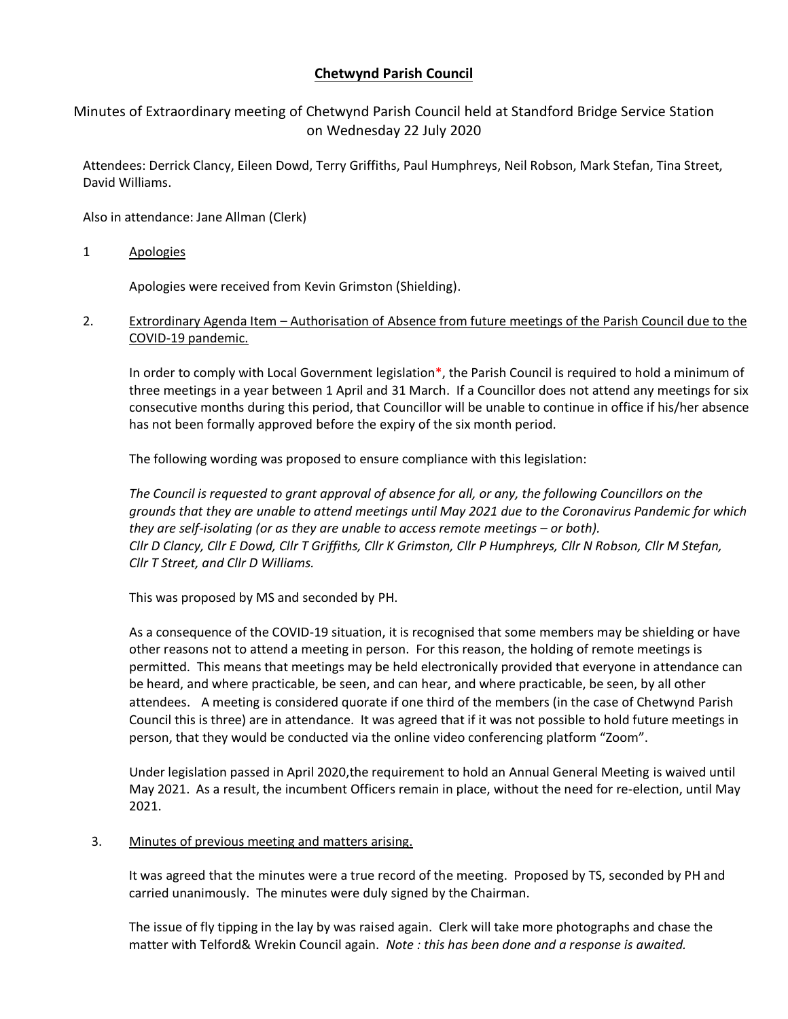# **Chetwynd Parish Council**

## Minutes of Extraordinary meeting of Chetwynd Parish Council held at Standford Bridge Service Station on Wednesday 22 July 2020

Attendees: Derrick Clancy, Eileen Dowd, Terry Griffiths, Paul Humphreys, Neil Robson, Mark Stefan, Tina Street, David Williams.

Also in attendance: Jane Allman (Clerk)

1 Apologies

Apologies were received from Kevin Grimston (Shielding).

2. Extrordinary Agenda Item – Authorisation of Absence from future meetings of the Parish Council due to the COVID-19 pandemic.

In order to comply with Local Government legislation\*, the Parish Council is required to hold a minimum of three meetings in a year between 1 April and 31 March. If a Councillor does not attend any meetings for six consecutive months during this period, that Councillor will be unable to continue in office if his/her absence has not been formally approved before the expiry of the six month period.

The following wording was proposed to ensure compliance with this legislation:

*The Council is requested to grant approval of absence for all, or any, the following Councillors on the grounds that they are unable to attend meetings until May 2021 due to the Coronavirus Pandemic for which they are self-isolating (or as they are unable to access remote meetings – or both). Cllr D Clancy, Cllr E Dowd, Cllr T Griffiths, Cllr K Grimston, Cllr P Humphreys, Cllr N Robson, Cllr M Stefan, Cllr T Street, and Cllr D Williams.*

This was proposed by MS and seconded by PH.

As a consequence of the COVID-19 situation, it is recognised that some members may be shielding or have other reasons not to attend a meeting in person. For this reason, the holding of remote meetings is permitted. This means that meetings may be held electronically provided that everyone in attendance can be heard, and where practicable, be seen, and can hear, and where practicable, be seen, by all other attendees. A meeting is considered quorate if one third of the members (in the case of Chetwynd Parish Council this is three) are in attendance. It was agreed that if it was not possible to hold future meetings in person, that they would be conducted via the online video conferencing platform "Zoom".

Under legislation passed in April 2020,the requirement to hold an Annual General Meeting is waived until May 2021. As a result, the incumbent Officers remain in place, without the need for re-election, until May 2021.

### 3. Minutes of previous meeting and matters arising.

It was agreed that the minutes were a true record of the meeting. Proposed by TS, seconded by PH and carried unanimously. The minutes were duly signed by the Chairman.

The issue of fly tipping in the lay by was raised again. Clerk will take more photographs and chase the matter with Telford& Wrekin Council again. *Note : this has been done and a response is awaited.*